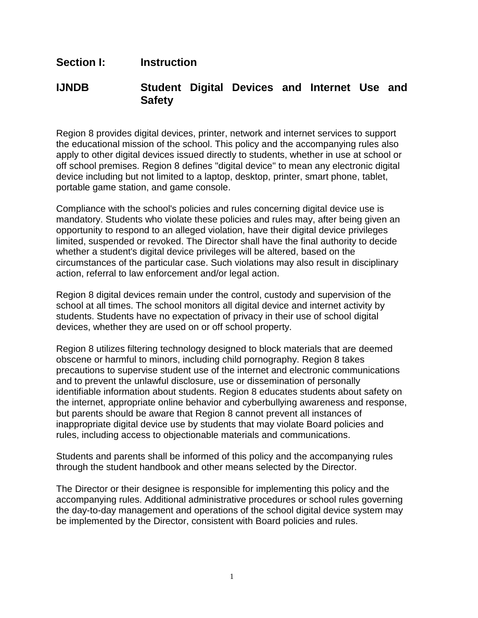## **Section I: Instruction**

## **IJNDB Student Digital Devices and Internet Use and Safety**

Region 8 provides digital devices, printer, network and internet services to support the educational mission of the school. This policy and the accompanying rules also apply to other digital devices issued directly to students, whether in use at school or off school premises. Region 8 defines "digital device" to mean any electronic digital device including but not limited to a laptop, desktop, printer, smart phone, tablet, portable game station, and game console.

Compliance with the school's policies and rules concerning digital device use is mandatory. Students who violate these policies and rules may, after being given an opportunity to respond to an alleged violation, have their digital device privileges limited, suspended or revoked. The Director shall have the final authority to decide whether a student's digital device privileges will be altered, based on the circumstances of the particular case. Such violations may also result in disciplinary action, referral to law enforcement and/or legal action.

Region 8 digital devices remain under the control, custody and supervision of the school at all times. The school monitors all digital device and internet activity by students. Students have no expectation of privacy in their use of school digital devices, whether they are used on or off school property.

Region 8 utilizes filtering technology designed to block materials that are deemed obscene or harmful to minors, including child pornography. Region 8 takes precautions to supervise student use of the internet and electronic communications and to prevent the unlawful disclosure, use or dissemination of personally identifiable information about students. Region 8 educates students about safety on the internet, appropriate online behavior and cyberbullying awareness and response, but parents should be aware that Region 8 cannot prevent all instances of inappropriate digital device use by students that may violate Board policies and rules, including access to objectionable materials and communications.

Students and parents shall be informed of this policy and the accompanying rules through the student handbook and other means selected by the Director.

The Director or their designee is responsible for implementing this policy and the accompanying rules. Additional administrative procedures or school rules governing the day-to-day management and operations of the school digital device system may be implemented by the Director, consistent with Board policies and rules.